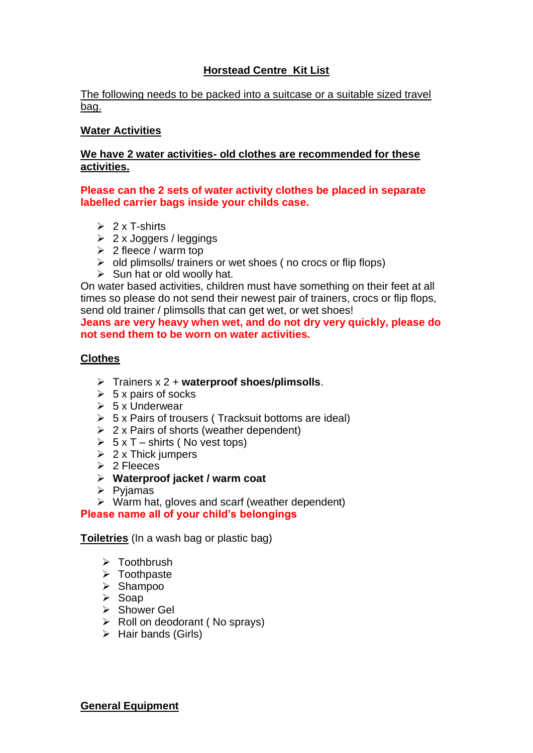# **Horstead Centre Kit List**

### The following needs to be packed into a suitcase or a suitable sized travel bag.

## **Water Activities**

## **We have 2 water activities- old clothes are recommended for these activities.**

### **Please can the 2 sets of water activity clothes be placed in separate labelled carrier bags inside your childs case.**

- $\geq 2 \times T$ -shirts
- $\geq 2$  x Joggers / leggings
- $\geq 2$  fleece / warm top
- ➢ old plimsolls/ trainers or wet shoes ( no crocs or flip flops)
- $\triangleright$  Sun hat or old woolly hat.

On water based activities, children must have something on their feet at all times so please do not send their newest pair of trainers, crocs or flip flops, send old trainer / plimsolls that can get wet, or wet shoes!

**Jeans are very heavy when wet, and do not dry very quickly, please do not send them to be worn on water activities.**

## **Clothes**

- ➢ Trainers x 2 + **waterproof shoes/plimsolls**.
- $\geqslant$  5 x pairs of socks
- $> 5x$  Underwear
- $\geq 5$  x Pairs of trousers (Tracksuit bottoms are ideal)
- $\geq 2$  x Pairs of shorts (weather dependent)
- $\triangleright$  5 x T shirts (No vest tops)
- $\geq 2$  x Thick jumpers
- ➢ 2 Fleeces
- ➢ **Waterproof jacket / warm coat**
- ➢ Pyjamas
- ➢ Warm hat, gloves and scarf (weather dependent) **Please name all of your child's belongings**

**Toiletries** (In a wash bag or plastic bag)

- ➢ Toothbrush
- ➢ Toothpaste
- ➢ Shampoo
- ➢ Soap
- ➢ Shower Gel
- ➢ Roll on deodorant ( No sprays)
- ➢ Hair bands (Girls)

**General Equipment**